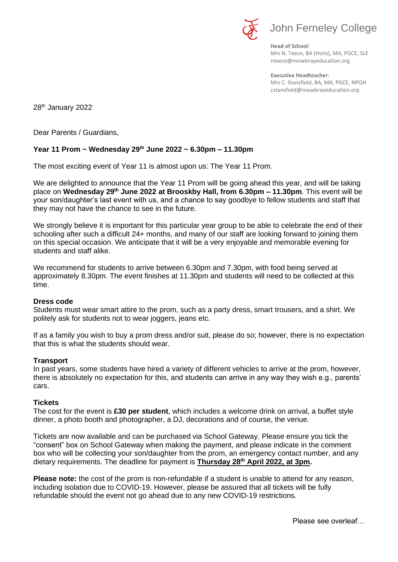

**Head of School**: Mrs N. Teece, BA (Hons), MA, PGCE, SLE nteece@mowbrayeducation.org

**Executive Headteacher**: Mrs C. Stansfield, BA, MA, PGCE, NPQH cstansfield@mowbrayeducation.org

28<sup>th</sup> January 2022

Dear Parents / Guardians,

## **Year 11 Prom ~ Wednesday 29th June 2022 ~ 6.30pm – 11.30pm**

The most exciting event of Year 11 is almost upon us: The Year 11 Prom.

We are delighted to announce that the Year 11 Prom will be going ahead this year, and will be taking place on **Wednesday 29th June 2022 at Brooskby Hall, from 6.30pm – 11.30pm**. This event will be your son/daughter's last event with us, and a chance to say goodbye to fellow students and staff that they may not have the chance to see in the future.

We strongly believe it is important for this particular year group to be able to celebrate the end of their schooling after such a difficult 24+ months, and many of our staff are looking forward to joining them on this special occasion. We anticipate that it will be a very enjoyable and memorable evening for students and staff alike.

We recommend for students to arrive between 6.30pm and 7.30pm, with food being served at approximately 8.30pm. The event finishes at 11.30pm and students will need to be collected at this time.

## **Dress code**

Students must wear smart attire to the prom, such as a party dress, smart trousers, and a shirt. We politely ask for students not to wear joggers, jeans etc.

If as a family you wish to buy a prom dress and/or suit, please do so; however, there is no expectation that this is what the students should wear.

## **Transport**

In past years, some students have hired a variety of different vehicles to arrive at the prom, however, there is absolutely no expectation for this, and students can arrive in any way they wish e.g., parents' cars.

## **Tickets**

The cost for the event is **£30 per student**, which includes a welcome drink on arrival, a buffet style dinner, a photo booth and photographer, a DJ, decorations and of course, the venue.

Tickets are now available and can be purchased via School Gateway. Please ensure you tick the "consent" box on School Gateway when making the payment, and please indicate in the comment box who will be collecting your son/daughter from the prom, an emergency contact number, and any dietary requirements. The deadline for payment is **Thursday 28th April 2022, at 3pm.** 

**Please note:** the cost of the prom is non-refundable if a student is unable to attend for any reason, including isolation due to COVID-19. However, please be assured that all tickets will be fully refundable should the event not go ahead due to any new COVID-19 restrictions.